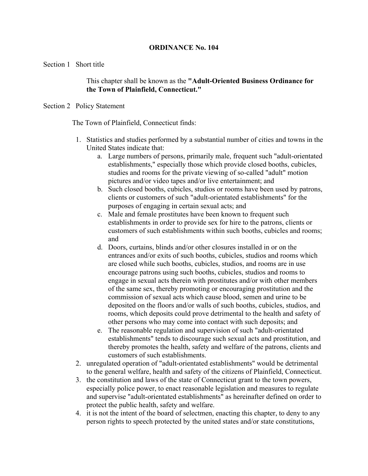# **ORDINANCE No. 104**

Section 1 Short title

This chapter shall be known as the **"Adult-Oriented Business Ordinance for the Town of Plainfield, Connecticut."**

## Section 2 Policy Statement

The Town of Plainfield, Connecticut finds:

- 1. Statistics and studies performed by a substantial number of cities and towns in the United States indicate that:
	- a. Large numbers of persons, primarily male, frequent such "adult-orientated establishments," especially those which provide closed booths, cubicles, studies and rooms for the private viewing of so-called "adult" motion pictures and/or video tapes and/or live entertainment; and
	- b. Such closed booths, cubicles, studios or rooms have been used by patrons, clients or customers of such "adult-orientated establishments" for the purposes of engaging in certain sexual acts; and
	- c. Male and female prostitutes have been known to frequent such establishments in order to provide sex for hire to the patrons, clients or customers of such establishments within such booths, cubicles and rooms; and
	- d. Doors, curtains, blinds and/or other closures installed in or on the entrances and/or exits of such booths, cubicles, studios and rooms which are closed while such booths, cubicles, studios, and rooms are in use encourage patrons using such booths, cubicles, studios and rooms to engage in sexual acts therein with prostitutes and/or with other members of the same sex, thereby promoting or encouraging prostitution and the commission of sexual acts which cause blood, semen and urine to be deposited on the floors and/or walls of such booths, cubicles, studios, and rooms, which deposits could prove detrimental to the health and safety of other persons who may come into contact with such deposits; and
	- e. The reasonable regulation and supervision of such "adult-orientated establishments" tends to discourage such sexual acts and prostitution, and thereby promotes the health, safety and welfare of the patrons, clients and customers of such establishments.
- 2. unregulated operation of "adult-orientated establishments" would be detrimental to the general welfare, health and safety of the citizens of Plainfield, Connecticut.
- 3. the constitution and laws of the state of Connecticut grant to the town powers, especially police power, to enact reasonable legislation and measures to regulate and supervise "adult-orientated establishments" as hereinafter defined on order to protect the public health, safety and welfare.
- 4. it is not the intent of the board of selectmen, enacting this chapter, to deny to any person rights to speech protected by the united states and/or state constitutions,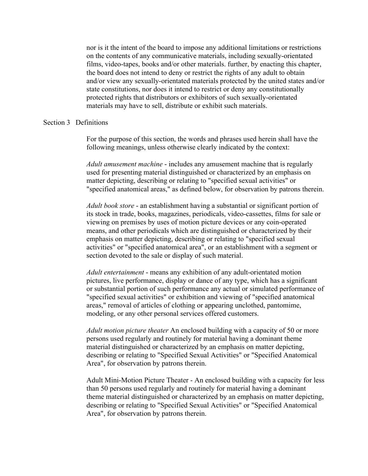nor is it the intent of the board to impose any additional limitations or restrictions on the contents of any communicative materials, including sexually-orientated films, video-tapes, books and/or other materials. further, by enacting this chapter, the board does not intend to deny or restrict the rights of any adult to obtain and/or view any sexually-orientated materials protected by the united states and/or state constitutions, nor does it intend to restrict or deny any constitutionally protected rights that distributors or exhibitors of such sexually-orientated materials may have to sell, distribute or exhibit such materials.

### Section 3 Definitions

For the purpose of this section, the words and phrases used herein shall have the following meanings, unless otherwise clearly indicated by the context:

*Adult amusement machine* - includes any amusement machine that is regularly used for presenting material distinguished or characterized by an emphasis on matter depicting, describing or relating to "specified sexual activities" or "specified anatomical areas," as defined below, for observation by patrons therein.

*Adult book store* - an establishment having a substantial or significant portion of its stock in trade, books, magazines, periodicals, video-cassettes, films for sale or viewing on premises by uses of motion picture devices or any coin-operated means, and other periodicals which are distinguished or characterized by their emphasis on matter depicting, describing or relating to "specified sexual activities" or "specified anatomical area", or an establishment with a segment or section devoted to the sale or display of such material.

*Adult entertainment* - means any exhibition of any adult-orientated motion pictures, live performance, display or dance of any type, which has a significant or substantial portion of such performance any actual or simulated performance of "specified sexual activities" or exhibition and viewing of "specified anatomical areas," removal of articles of clothing or appearing unclothed, pantomime, modeling, or any other personal services offered customers.

*Adult motion picture theater* An enclosed building with a capacity of 50 or more persons used regularly and routinely for material having a dominant theme material distinguished or characterized by an emphasis on matter depicting, describing or relating to "Specified Sexual Activities" or "Specified Anatomical Area", for observation by patrons therein.

Adult Mini-Motion Picture Theater - An enclosed building with a capacity for less than 50 persons used regularly and routinely for material having a dominant theme material distinguished or characterized by an emphasis on matter depicting, describing or relating to "Specified Sexual Activities" or "Specified Anatomical Area", for observation by patrons therein.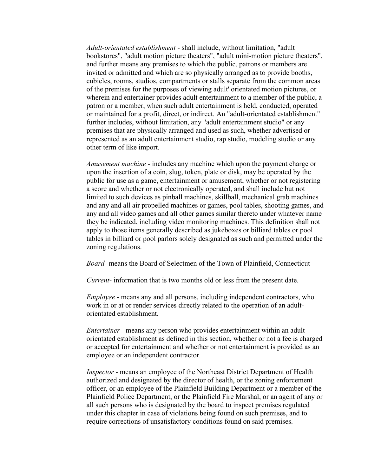*Adult-orientated establishment* - shall include, without limitation, "adult bookstores", "adult motion picture theaters", "adult mini-motion picture theaters", and further means any premises to which the public, patrons or members are invited or admitted and which are so physically arranged as to provide booths, cubicles, rooms, studios, compartments or stalls separate from the common areas of the premises for the purposes of viewing adult' orientated motion pictures, or wherein and entertainer provides adult entertainment to a member of the public, a patron or a member, when such adult entertainment is held, conducted, operated or maintained for a profit, direct, or indirect. An "adult-orientated establishment" further includes, without limitation, any "adult entertainment studio" or any premises that are physically arranged and used as such, whether advertised or represented as an adult entertainment studio, rap studio, modeling studio or any other term of like import.

*Amusement machine* - includes any machine which upon the payment charge or upon the insertion of a coin, slug, token, plate or disk, may be operated by the public for use as a game, entertainment or amusement, whether or not registering a score and whether or not electronically operated, and shall include but not limited to such devices as pinball machines, skillball, mechanical grab machines and any and all air propelled machines or games, pool tables, shooting games, and any and all video games and all other games similar thereto under whatever name they be indicated, including video monitoring machines. This definition shall not apply to those items generally described as jukeboxes or billiard tables or pool tables in billiard or pool parlors solely designated as such and permitted under the zoning regulations.

*Board*- means the Board of Selectmen of the Town of Plainfield, Connecticut

*Current*- information that is two months old or less from the present date.

*Employee* - means any and all persons, including independent contractors, who work in or at or render services directly related to the operation of an adultorientated establishment.

*Entertainer* - means any person who provides entertainment within an adultorientated establishment as defined in this section, whether or not a fee is charged or accepted for entertainment and whether or not entertainment is provided as an employee or an independent contractor.

*Inspector* - means an employee of the Northeast District Department of Health authorized and designated by the director of health, or the zoning enforcement officer, or an employee of the Plainfield Building Department or a member of the Plainfield Police Department, or the Plainfield Fire Marshal, or an agent of any or all such persons who is designated by the board to inspect premises regulated under this chapter in case of violations being found on such premises, and to require corrections of unsatisfactory conditions found on said premises.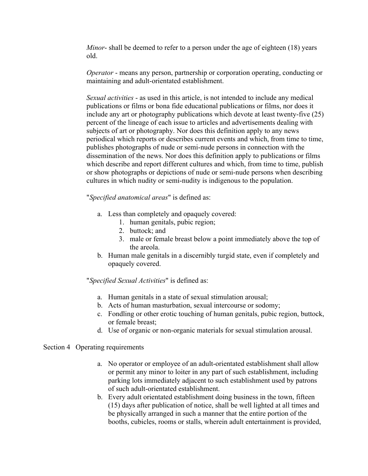*Minor*- shall be deemed to refer to a person under the age of eighteen (18) years old.

*Operator* - means any person, partnership or corporation operating, conducting or maintaining and adult-orientated establishment.

*Sexual activities* - as used in this article, is not intended to include any medical publications or films or bona fide educational publications or films, nor does it include any art or photography publications which devote at least twenty-five (25) percent of the lineage of each issue to articles and advertisements dealing with subjects of art or photography. Nor does this definition apply to any news periodical which reports or describes current events and which, from time to time, publishes photographs of nude or semi-nude persons in connection with the dissemination of the news. Nor does this definition apply to publications or films which describe and report different cultures and which, from time to time, publish or show photographs or depictions of nude or semi-nude persons when describing cultures in which nudity or semi-nudity is indigenous to the population.

# "*Specified anatomical areas*" is defined as:

- a. Less than completely and opaquely covered:
	- 1. human genitals, pubic region;
	- 2. buttock; and
	- 3. male or female breast below a point immediately above the top of the areola.
- b. Human male genitals in a discernibly turgid state, even if completely and opaquely covered.

## "*Specified Sexual Activities*" is defined as:

- a. Human genitals in a state of sexual stimulation arousal;
- b. Acts of human masturbation, sexual intercourse or sodomy;
- c. Fondling or other erotic touching of human genitals, pubic region, buttock, or female breast;
- d. Use of organic or non-organic materials for sexual stimulation arousal.

## Section 4 Operating requirements

- a. No operator or employee of an adult-orientated establishment shall allow or permit any minor to loiter in any part of such establishment, including parking lots immediately adjacent to such establishment used by patrons of such adult-orientated establishment.
- b. Every adult orientated establishment doing business in the town, fifteen (15) days after publication of notice, shall be well lighted at all times and be physically arranged in such a manner that the entire portion of the booths, cubicles, rooms or stalls, wherein adult entertainment is provided,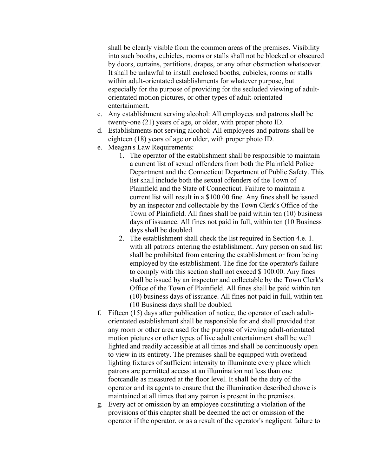shall be clearly visible from the common areas of the premises. Visibility into such booths, cubicles, rooms or stalls shall not be blocked or obscured by doors, curtains, partitions, drapes, or any other obstruction whatsoever. It shall be unlawful to install enclosed booths, cubicles, rooms or stalls within adult-orientated establishments for whatever purpose, but especially for the purpose of providing for the secluded viewing of adultorientated motion pictures, or other types of adult-orientated entertainment.

- c. Any establishment serving alcohol: All employees and patrons shall be twenty-one (21) years of age, or older, with proper photo ID.
- d. Establishments not serving alcohol: All employees and patrons shall be eighteen (18) years of age or older, with proper photo ID.
- e. Meagan's Law Requirements:
	- 1. The operator of the establishment shall be responsible to maintain a current list of sexual offenders from both the Plainfield Police Department and the Connecticut Department of Public Safety. This list shall include both the sexual offenders of the Town of Plainfield and the State of Connecticut. Failure to maintain a current list will result in a \$100.00 fine. Any fines shall be issued by an inspector and collectable by the Town Clerk's Office of the Town of Plainfield. All fines shall be paid within ten (10) business days of issuance. All fines not paid in full, within ten (10 Business days shall be doubled.
	- 2. The establishment shall check the list required in Section 4.e. 1. with all patrons entering the establishment. Any person on said list shall be prohibited from entering the establishment or from being employed by the establishment. The fine for the operator's failure to comply with this section shall not exceed \$ 100.00. Any fines shall be issued by an inspector and collectable by the Town Clerk's Office of the Town of Plainfield. All fines shall be paid within ten (10) business days of issuance. All fines not paid in full, within ten (10 Business days shall be doubled.
- f. Fifteen (15) days after publication of notice, the operator of each adultorientated establishment shall be responsible for and shall provided that any room or other area used for the purpose of viewing adult-orientated motion pictures or other types of live adult entertainment shall be well lighted and readily accessible at all times and shall be continuously open to view in its entirety. The premises shall be equipped with overhead lighting fixtures of sufficient intensity to illuminate every place which patrons are permitted access at an illumination not less than one footcandle as measured at the floor level. It shall be the duty of the operator and its agents to ensure that the illumination described above is maintained at all times that any patron is present in the premises.
- g. Every act or omission by an employee constituting a violation of the provisions of this chapter shall be deemed the act or omission of the operator if the operator, or as a result of the operator's negligent failure to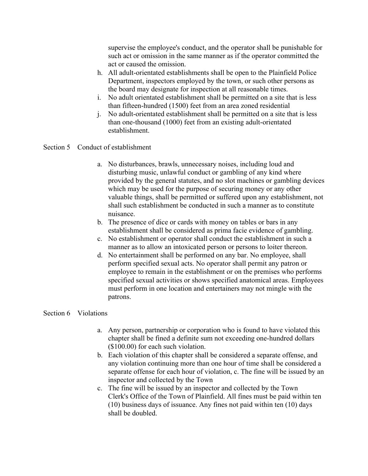supervise the employee's conduct, and the operator shall be punishable for such act or omission in the same manner as if the operator committed the act or caused the omission.

- h. All adult-orientated establishments shall be open to the Plainfield Police Department, inspectors employed by the town, or such other persons as the board may designate for inspection at all reasonable times.
- i. No adult orientated establishment shall be permitted on a site that is less than fifteen-hundred (1500) feet from an area zoned residential
- j. No adult-orientated establishment shall be permitted on a site that is less than one-thousand (1000) feet from an existing adult-orientated establishment.

# Section 5 Conduct of establishment

- a. No disturbances, brawls, unnecessary noises, including loud and disturbing music, unlawful conduct or gambling of any kind where provided by the general statutes, and no slot machines or gambling devices which may be used for the purpose of securing money or any other valuable things, shall be permitted or suffered upon any establishment, not shall such establishment be conducted in such a manner as to constitute nuisance.
- b. The presence of dice or cards with money on tables or bars in any establishment shall be considered as prima facie evidence of gambling.
- c. No establishment or operator shall conduct the establishment in such a manner as to allow an intoxicated person or persons to loiter thereon.
- d. No entertainment shall be performed on any bar. No employee, shall perform specified sexual acts. No operator shall permit any patron or employee to remain in the establishment or on the premises who performs specified sexual activities or shows specified anatomical areas. Employees must perform in one location and entertainers may not mingle with the patrons.

# Section 6 Violations

- a. Any person, partnership or corporation who is found to have violated this chapter shall be fined a definite sum not exceeding one-hundred dollars (\$100.00) for each such violation.
- b. Each violation of this chapter shall be considered a separate offense, and any violation continuing more than one hour of time shall be considered a separate offense for each hour of violation, c. The fine will be issued by an inspector and collected by the Town
- c. The fine will be issued by an inspector and collected by the Town Clerk's Office of the Town of Plainfield. All fines must be paid within ten (10) business days of issuance. Any fines not paid within ten (10) days shall be doubled.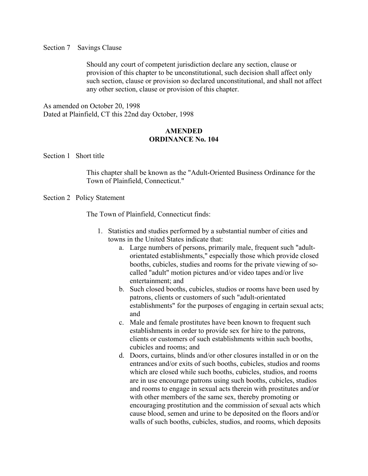#### Section 7 Savings Clause

Should any court of competent jurisdiction declare any section, clause or provision of this chapter to be unconstitutional, such decision shall affect only such section, clause or provision so declared unconstitutional, and shall not affect any other section, clause or provision of this chapter.

As amended on October 20, 1998 Dated at Plainfield, CT this 22nd day October, 1998

# **AMENDED ORDINANCE No. 104**

Section 1 Short title

This chapter shall be known as the "Adult-Oriented Business Ordinance for the Town of Plainfield, Connecticut."

### Section 2 Policy Statement

The Town of Plainfield, Connecticut finds:

- 1. Statistics and studies performed by a substantial number of cities and towns in the United States indicate that:
	- a. Large numbers of persons, primarily male, frequent such "adultorientated establishments," especially those which provide closed booths, cubicles, studies and rooms for the private viewing of socalled "adult" motion pictures and/or video tapes and/or live entertainment; and
	- b. Such closed booths, cubicles, studios or rooms have been used by patrons, clients or customers of such "adult-orientated establishments" for the purposes of engaging in certain sexual acts; and
	- c. Male and female prostitutes have been known to frequent such establishments in order to provide sex for hire to the patrons, clients or customers of such establishments within such booths, cubicles and rooms; and
	- d. Doors, curtains, blinds and/or other closures installed in or on the entrances and/or exits of such booths, cubicles, studios and rooms which are closed while such booths, cubicles, studios, and rooms are in use encourage patrons using such booths, cubicles, studios and rooms to engage in sexual acts therein with prostitutes and/or with other members of the same sex, thereby promoting or encouraging prostitution and the commission of sexual acts which cause blood, semen and urine to be deposited on the floors and/or walls of such booths, cubicles, studios, and rooms, which deposits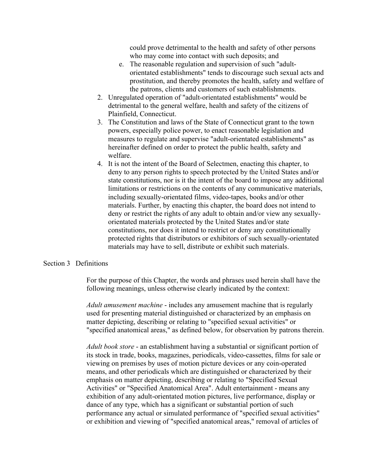could prove detrimental to the health and safety of other persons who may come into contact with such deposits; and

- e. The reasonable regulation and supervision of such "adultorientated establishments" tends to discourage such sexual acts and prostitution, and thereby promotes the health, safety and welfare of the patrons, clients and customers of such establishments.
- 2. Unregulated operation of "adult-orientated establishments" would be detrimental to the general welfare, health and safety of the citizens of Plainfield, Connecticut.
- 3. The Constitution and laws of the State of Connecticut grant to the town powers, especially police power, to enact reasonable legislation and measures to regulate and supervise "adult-orientated establishments" as hereinafter defined on order to protect the public health, safety and welfare.
- 4. It is not the intent of the Board of Selectmen, enacting this chapter, to deny to any person rights to speech protected by the United States and/or state constitutions, nor is it the intent of the board to impose any additional limitations or restrictions on the contents of any communicative materials, including sexually-orientated films, video-tapes, books and/or other materials. Further, by enacting this chapter, the board does not intend to deny or restrict the rights of any adult to obtain and/or view any sexuallyorientated materials protected by the United States and/or state constitutions, nor does it intend to restrict or deny any constitutionally protected rights that distributors or exhibitors of such sexually-orientated materials may have to sell, distribute or exhibit such materials.

### Section 3 Definitions

For the purpose of this Chapter, the words and phrases used herein shall have the following meanings, unless otherwise clearly indicated by the context:

*Adult amusement machine* - includes any amusement machine that is regularly used for presenting material distinguished or characterized by an emphasis on matter depicting, describing or relating to "specified sexual activities" or "specified anatomical areas," as defined below, for observation by patrons therein.

*Adult book store* - an establishment having a substantial or significant portion of its stock in trade, books, magazines, periodicals, video-cassettes, films for sale or viewing on premises by uses of motion picture devices or any coin-operated means, and other periodicals which are distinguished or characterized by their emphasis on matter depicting, describing or relating to "Specified Sexual Activities" or "Specified Anatomical Area". Adult entertainment - means any exhibition of any adult-orientated motion pictures, live performance, display or dance of any type, which has a significant or substantial portion of such performance any actual or simulated performance of "specified sexual activities" or exhibition and viewing of "specified anatomical areas," removal of articles of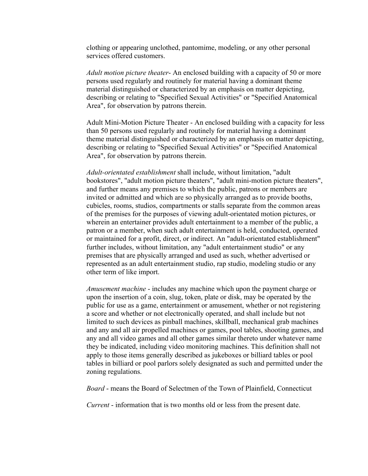clothing or appearing unclothed, pantomime, modeling, or any other personal services offered customers.

*Adult motion picture theater*- An enclosed building with a capacity of 50 or more persons used regularly and routinely for material having a dominant theme material distinguished or characterized by an emphasis on matter depicting, describing or relating to "Specified Sexual Activities" or "Specified Anatomical Area", for observation by patrons therein.

Adult Mini-Motion Picture Theater - An enclosed building with a capacity for less than 50 persons used regularly and routinely for material having a dominant theme material distinguished or characterized by an emphasis on matter depicting, describing or relating to "Specified Sexual Activities" or "Specified Anatomical Area", for observation by patrons therein.

*Adult-orientated establishment* shall include, without limitation, "adult bookstores", "adult motion picture theaters", "adult mini-motion picture theaters", and further means any premises to which the public, patrons or members are invited or admitted and which are so physically arranged as to provide booths, cubicles, rooms, studios, compartments or stalls separate from the common areas of the premises for the purposes of viewing adult-orientated motion pictures, or wherein an entertainer provides adult entertainment to a member of the public, a patron or a member, when such adult entertainment is held, conducted, operated or maintained for a profit, direct, or indirect. An "adult-orientated establishment" further includes, without limitation, any "adult entertainment studio" or any premises that are physically arranged and used as such, whether advertised or represented as an adult entertainment studio, rap studio, modeling studio or any other term of like import.

*Amusement machine* - includes any machine which upon the payment charge or upon the insertion of a coin, slug, token, plate or disk, may be operated by the public for use as a game, entertainment or amusement, whether or not registering a score and whether or not electronically operated, and shall include but not limited to such devices as pinball machines, skillball, mechanical grab machines and any and all air propelled machines or games, pool tables, shooting games, and any and all video games and all other games similar thereto under whatever name they be indicated, including video monitoring machines. This definition shall not apply to those items generally described as jukeboxes or billiard tables or pool tables in billiard or pool parlors solely designated as such and permitted under the zoning regulations.

*Board* - means the Board of Selectmen of the Town of Plainfield, Connecticut

*Current* - information that is two months old or less from the present date.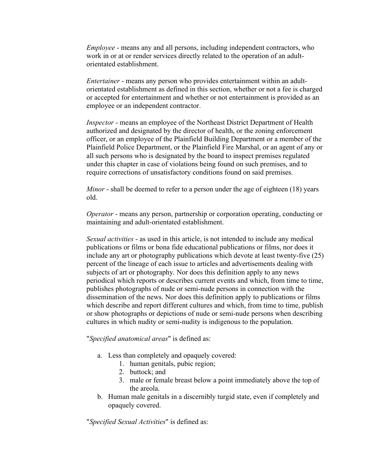*Employee* - means any and all persons, including independent contractors, who work in or at or render services directly related to the operation of an adultorientated establishment.

*Entertainer* - means any person who provides entertainment within an adultorientated establishment as defined in this section, whether or not a fee is charged or accepted for entertainment and whether or not entertainment is provided as an employee or an independent contractor.

*Inspector* - means an employee of the Northeast District Department of Health authorized and designated by the director of health, or the zoning enforcement officer, or an employee of the Plainfield Building Department or a member of the Plainfield Police Department, or the Plainfield Fire Marshal, or an agent of any or all such persons who is designated by the board to inspect premises regulated under this chapter in case of violations being found on such premises, and to require corrections of unsatisfactory conditions found on said premises.

*Minor* - shall be deemed to refer to a person under the age of eighteen (18) years old.

*Operator* - means any person, partnership or corporation operating, conducting or maintaining and adult-orientated establishment.

*Sexual activities* - as used in this article, is not intended to include any medical publications or films or bona fide educational publications or films, nor does it include any art or photography publications which devote at least twenty-five (25) percent of the lineage of each issue to articles and advertisements dealing with subjects of art or photography. Nor does this definition apply to any news periodical which reports or describes current events and which, from time to time, publishes photographs of nude or semi-nude persons in connection with the dissemination of the news. Nor does this definition apply to publications or films which describe and report different cultures and which, from time to time, publish or show photographs or depictions of nude or semi-nude persons when describing cultures in which nudity or semi-nudity is indigenous to the population.

"*Specified anatomical areas*" is defined as:

- a. Less than completely and opaquely covered:
	- 1. human genitals, pubic region;
	- 2. buttock; and
	- 3. male or female breast below a point immediately above the top of the areola.
- b. Human male genitals in a discernibly turgid state, even if completely and opaquely covered.

"*Specified Sexual Activities*" is defined as: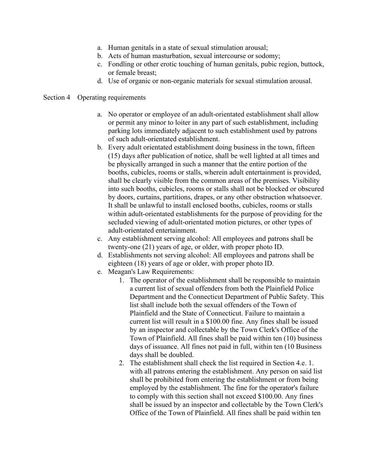- a. Human genitals in a state of sexual stimulation arousal;
- b. Acts of human masturbation, sexual intercourse or sodomy;
- c. Fondling or other erotic touching of human genitals, pubic region, buttock, or female breast;
- d. Use of organic or non-organic materials for sexual stimulation arousal.

## Section 4 Operating requirements

- a. No operator or employee of an adult-orientated establishment shall allow or permit any minor to loiter in any part of such establishment, including parking lots immediately adjacent to such establishment used by patrons of such adult-orientated establishment.
- b. Every adult orientated establishment doing business in the town, fifteen (15) days after publication of notice, shall be well lighted at all times and be physically arranged in such a manner that the entire portion of the booths, cubicles, rooms or stalls, wherein adult entertainment is provided, shall be clearly visible from the common areas of the premises. Visibility into such booths, cubicles, rooms or stalls shall not be blocked or obscured by doors, curtains, partitions, drapes, or any other obstruction whatsoever. It shall be unlawful to install enclosed booths, cubicles, rooms or stalls within adult-orientated establishments for the purpose of providing for the secluded viewing of adult-orientated motion pictures, or other types of adult-orientated entertainment.
- c. Any establishment serving alcohol: All employees and patrons shall be twenty-one (21) years of age, or older, with proper photo ID.
- d. Establishments not serving alcohol: All employees and patrons shall be eighteen (18) years of age or older, with proper photo ID.
- e. Meagan's Law Requirements:
	- 1. The operator of the establishment shall be responsible to maintain a current list of sexual offenders from both the Plainfield Police Department and the Connecticut Department of Public Safety. This list shall include both the sexual offenders of the Town of Plainfield and the State of Connecticut. Failure to maintain a current list will result in a \$100.00 fine. Any fines shall be issued by an inspector and collectable by the Town Clerk's Office of the Town of Plainfield. All fines shall be paid within ten (10) business days of issuance. All fines not paid in full, within ten (10 Business days shall be doubled.
	- 2. The establishment shall check the list required in Section 4.e. 1. with all patrons entering the establishment. Any person on said list shall be prohibited from entering the establishment or from being employed by the establishment. The fine for the operator's failure to comply with this section shall not exceed \$100.00. Any fines shall be issued by an inspector and collectable by the Town Clerk's Office of the Town of Plainfield. All fines shall be paid within ten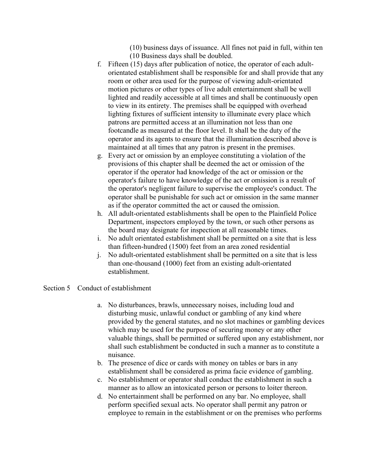(10) business days of issuance. All fines not paid in full, within ten

(10 Business days shall be doubled.

- f. Fifteen (15) days after publication of notice, the operator of each adultorientated establishment shall be responsible for and shall provide that any room or other area used for the purpose of viewing adult-orientated motion pictures or other types of live adult entertainment shall be well lighted and readily accessible at all times and shall be continuously open to view in its entirety. The premises shall be equipped with overhead lighting fixtures of sufficient intensity to illuminate every place which patrons are permitted access at an illumination not less than one footcandle as measured at the floor level. It shall be the duty of the operator and its agents to ensure that the illumination described above is maintained at all times that any patron is present in the premises.
- g. Every act or omission by an employee constituting a violation of the provisions of this chapter shall be deemed the act or omission of the operator if the operator had knowledge of the act or omission or the operator's failure to have knowledge of the act or omission is a result of the operator's negligent failure to supervise the employee's conduct. The operator shall be punishable for such act or omission in the same manner as if the operator committed the act or caused the omission.
- h. All adult-orientated establishments shall be open to the Plainfield Police Department, inspectors employed by the town, or such other persons as the board may designate for inspection at all reasonable times.
- i. No adult orientated establishment shall be permitted on a site that is less than fifteen-hundred (1500) feet from an area zoned residential
- j. No adult-orientated establishment shall be permitted on a site that is less than one-thousand (1000) feet from an existing adult-orientated establishment.

# Section 5 Conduct of establishment

- a. No disturbances, brawls, unnecessary noises, including loud and disturbing music, unlawful conduct or gambling of any kind where provided by the general statutes, and no slot machines or gambling devices which may be used for the purpose of securing money or any other valuable things, shall be permitted or suffered upon any establishment, nor shall such establishment be conducted in such a manner as to constitute a nuisance.
- b. The presence of dice or cards with money on tables or bars in any establishment shall be considered as prima facie evidence of gambling.
- c. No establishment or operator shall conduct the establishment in such a manner as to allow an intoxicated person or persons to loiter thereon.
- d. No entertainment shall be performed on any bar. No employee, shall perform specified sexual acts. No operator shall permit any patron or employee to remain in the establishment or on the premises who performs